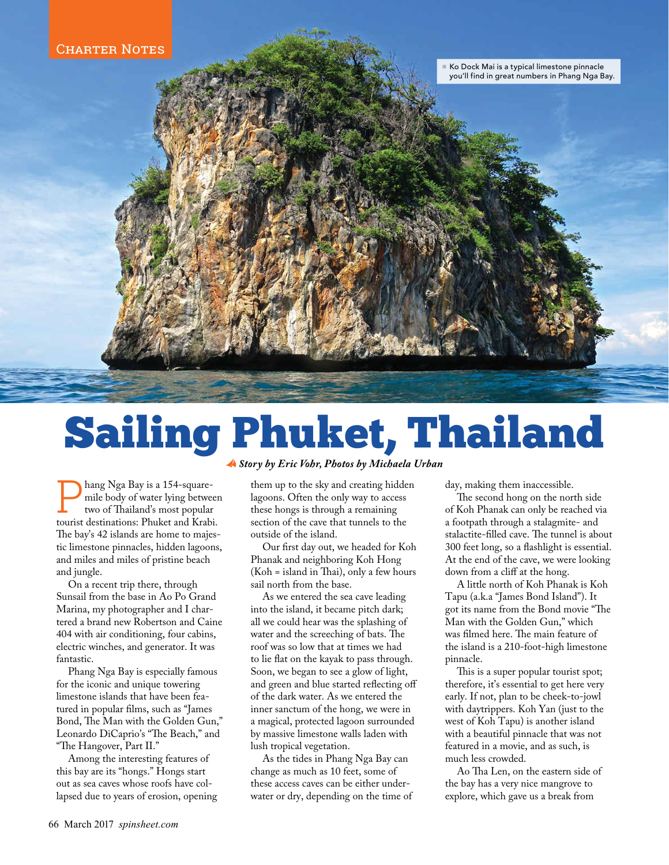

## Sailing Phuket, Thailand  *Story by Eric Vohr, Photos by Michaela Urban*

P hang Nga Bay is a 154-squaremile body of water lying between two of Thailand's most popular tourist destinations: Phuket and Krabi. The bay's 42 islands are home to majestic limestone pinnacles, hidden lagoons, and miles and miles of pristine beach and jungle.

On a recent trip there, through Sunsail from the base in Ao Po Grand Marina, my photographer and I chartered a brand new Robertson and Caine 404 with air conditioning, four cabins, electric winches, and generator. It was fantastic.

Phang Nga Bay is especially famous for the iconic and unique towering limestone islands that have been featured in popular films, such as "James Bond, The Man with the Golden Gun," Leonardo DiCaprio's "The Beach," and "The Hangover, Part II."

Among the interesting features of this bay are its "hongs." Hongs start out as sea caves whose roofs have collapsed due to years of erosion, opening

them up to the sky and creating hidden lagoons. Often the only way to access these hongs is through a remaining section of the cave that tunnels to the outside of the island.

Our first day out, we headed for Koh Phanak and neighboring Koh Hong (Koh = island in Thai), only a few hours sail north from the base.

As we entered the sea cave leading into the island, it became pitch dark; all we could hear was the splashing of water and the screeching of bats. The roof was so low that at times we had to lie flat on the kayak to pass through. Soon, we began to see a glow of light, and green and blue started reflecting off of the dark water. As we entered the inner sanctum of the hong, we were in a magical, protected lagoon surrounded by massive limestone walls laden with lush tropical vegetation.

As the tides in Phang Nga Bay can change as much as 10 feet, some of these access caves can be either underwater or dry, depending on the time of day, making them inaccessible.

The second hong on the north side of Koh Phanak can only be reached via a footpath through a stalagmite- and stalactite-filled cave. The tunnel is about 300 feet long, so a flashlight is essential. At the end of the cave, we were looking down from a cliff at the hong.

A little north of Koh Phanak is Koh Tapu (a.k.a "James Bond Island"). It got its name from the Bond movie "The Man with the Golden Gun," which was filmed here. The main feature of the island is a 210-foot-high limestone pinnacle.

This is a super popular tourist spot; therefore, it's essential to get here very early. If not, plan to be cheek-to-jowl with daytrippers. Koh Yan (just to the west of Koh Tapu) is another island with a beautiful pinnacle that was not featured in a movie, and as such, is much less crowded.

Ao Tha Len, on the eastern side of the bay has a very nice mangrove to explore, which gave us a break from